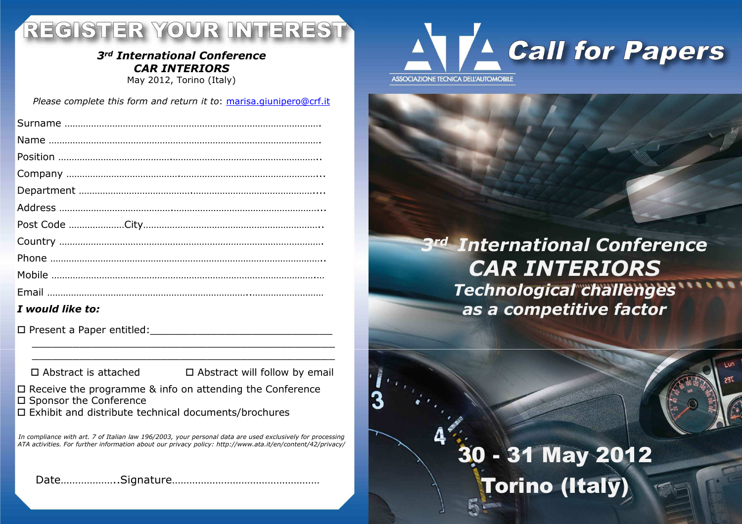## REGISTER YOUR INTEREST

### *3rd International Conference CAR INTERIORS*

May 2012, Torino (Italy)

*Please complete this form and return it to*: marisa.giunipero@crf.it

| I would like to: |
|------------------|

Present a Paper entitled:\_\_\_\_\_\_\_\_\_\_\_\_\_\_\_\_\_\_\_\_\_\_\_\_\_\_\_

 $\Box$  Abstract is attached

 $\Box$  Abstract is attached  $\Box$  Abstract will follow by email

Receive the programme & info on attending the Conference

- 口 Sponsor the Conference<br>ㅁ Exhibit and distribute to
- Exhibit and distribute technical documents/brochures

*In compliance with art. 7 of Italian law 196/2003, your personal data are used exclusively for processing ATA activities. For further information about our privacy policy: http://www.ata.it/en/content/42/privacy/*

Date………………..Signature……………………………………………



### *3rd International Conference CAR INTERIORS Technological challengesas a competitive factor*

# 30 - 31 May 2012 Torino (Italy)